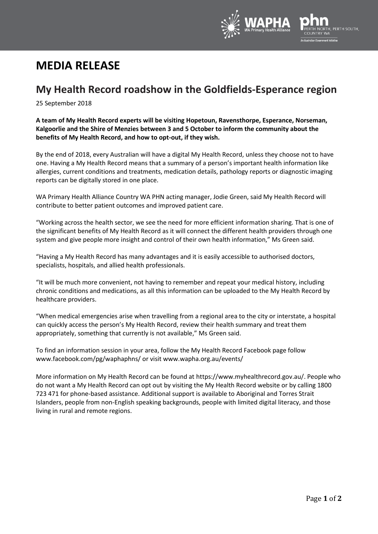

# **MEDIA RELEASE**

## **My Health Record roadshow in the Goldfields-Esperance region**

25 September 2018

**A team of My Health Record experts will be visiting Hopetoun, Ravensthorpe, Esperance, Norseman, Kalgoorlie and the Shire of Menzies between 3 and 5 October to inform the community about the benefits of My Health Record, and how to opt-out, if they wish.**

By the end of 2018, every Australian will have a digital My Health Record, unless they choose not to have one. Having a My Health Record means that a summary of a person's important health information like allergies, current conditions and treatments, medication details, pathology reports or diagnostic imaging reports can be digitally stored in one place.

WA Primary Health Alliance Country WA PHN acting manager, Jodie Green, said My Health Record will contribute to better patient outcomes and improved patient care.

"Working across the health sector, we see the need for more efficient information sharing. That is one of the significant benefits of My Health Record as it will connect the different health providers through one system and give people more insight and control of their own health information," Ms Green said.

"Having a My Health Record has many advantages and it is easily accessible to authorised doctors, specialists, hospitals, and allied health professionals.

"It will be much more convenient, not having to remember and repeat your medical history, including chronic conditions and medications, as all this information can be uploaded to the My Health Record by healthcare providers.

"When medical emergencies arise when travelling from a regional area to the city or interstate, a hospital can quickly access the person's My Health Record, review their health summary and treat them appropriately, something that currently is not available," Ms Green said.

To find an information session in your area, follow the My Health Record Facebook page follow www.facebook.com/pg/waphaphns/ or visi[t www.wapha.org.au/events/](http://www.wapha.org.au/events/)

More information on My Health Record can be found a[t https://www.myhealthrecord.gov.au/.](https://www.myhealthrecord.gov.au/) People who do not want a My Health Record can opt out by visiting the My Health Record website or by calling 1800 723 471 for phone-based assistance. Additional support is available to Aboriginal and Torres Strait Islanders, people from non-English speaking backgrounds, people with limited digital literacy, and those living in rural and remote regions.